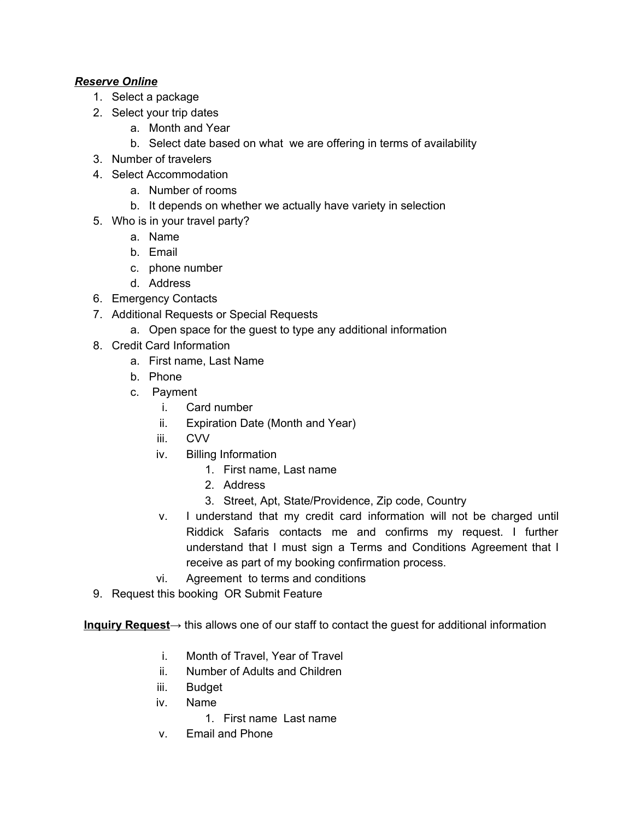## *Reserve Online*

- 1. Select a package
- 2. Select your trip dates
	- a. Month and Year
	- b. Select date based on what we are offering in terms of availability
- 3. Number of travelers
- 4. Select Accommodation
	- a. Number of rooms
	- b. It depends on whether we actually have variety in selection
- 5. Who is in your travel party?
	- a. Name
	- b. Email
	- c. phone number
	- d. Address
- 6. Emergency Contacts
- 7. Additional Requests or Special Requests
	- a. Open space for the guest to type any additional information
- 8. Credit Card Information
	- a. First name, Last Name
	- b. Phone
	- c. Payment
		- i. Card number
		- ii. Expiration Date (Month and Year)
		- iii. CVV
		- iv. Billing Information
			- 1. First name, Last name
			- 2. Address
			- 3. Street, Apt, State/Providence, Zip code, Country
		- v. I understand that my credit card information will not be charged until Riddick Safaris contacts me and confirms my request. I further understand that I must sign a Terms and Conditions Agreement that I receive as part of my booking confirmation process.
		- vi. Agreement to terms and conditions
- 9. Request this booking OR Submit Feature

**Inquiry Request**→ this allows one of our staff to contact the guest for additional information

- i. Month of Travel, Year of Travel
- ii. Number of Adults and Children
- iii. Budget
- iv. Name
	- 1. First name Last name
- v. Email and Phone